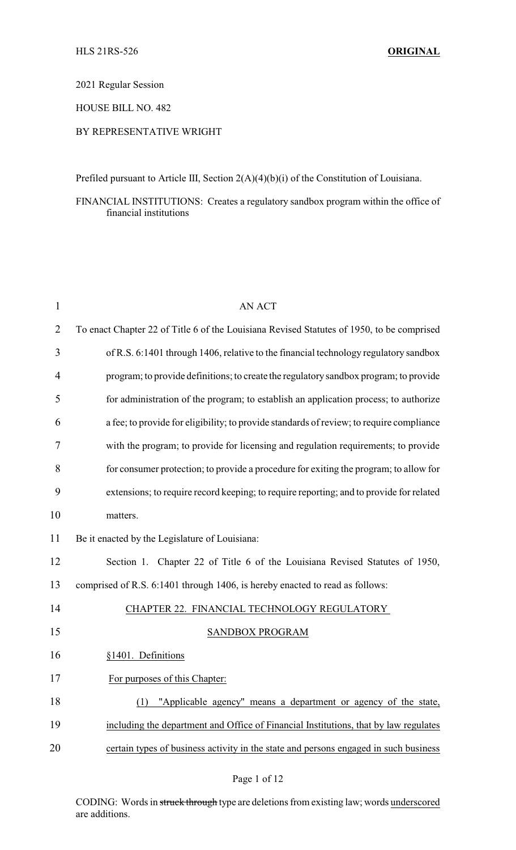2021 Regular Session

HOUSE BILL NO. 482

### BY REPRESENTATIVE WRIGHT

Prefiled pursuant to Article III, Section 2(A)(4)(b)(i) of the Constitution of Louisiana.

FINANCIAL INSTITUTIONS: Creates a regulatory sandbox program within the office of financial institutions

| $\mathbf{1}$ | <b>AN ACT</b>                                                                             |
|--------------|-------------------------------------------------------------------------------------------|
| 2            | To enact Chapter 22 of Title 6 of the Louisiana Revised Statutes of 1950, to be comprised |
| 3            | of R.S. 6:1401 through 1406, relative to the financial technology regulatory sandbox      |
| 4            | program; to provide definitions; to create the regulatory sandbox program; to provide     |
| 5            | for administration of the program; to establish an application process; to authorize      |
| 6            | a fee; to provide for eligibility; to provide standards of review; to require compliance  |
| 7            | with the program; to provide for licensing and regulation requirements; to provide        |
| 8            | for consumer protection; to provide a procedure for exiting the program; to allow for     |
| 9            | extensions; to require record keeping; to require reporting; and to provide for related   |
| 10           | matters.                                                                                  |
| 11           | Be it enacted by the Legislature of Louisiana:                                            |
| 12           | Section 1. Chapter 22 of Title 6 of the Louisiana Revised Statutes of 1950,               |
| 13           | comprised of R.S. 6:1401 through 1406, is hereby enacted to read as follows:              |
| 14           | CHAPTER 22. FINANCIAL TECHNOLOGY REGULATORY                                               |
| 15           | SANDBOX PROGRAM                                                                           |
| 16           | §1401. Definitions                                                                        |
| 17           | For purposes of this Chapter:                                                             |
| 18           | "Applicable agency" means a department or agency of the state,<br>(1)                     |
| 19           | including the department and Office of Financial Institutions, that by law regulates      |
| 20           | certain types of business activity in the state and persons engaged in such business      |
|              |                                                                                           |

CODING: Words in struck through type are deletions from existing law; words underscored are additions.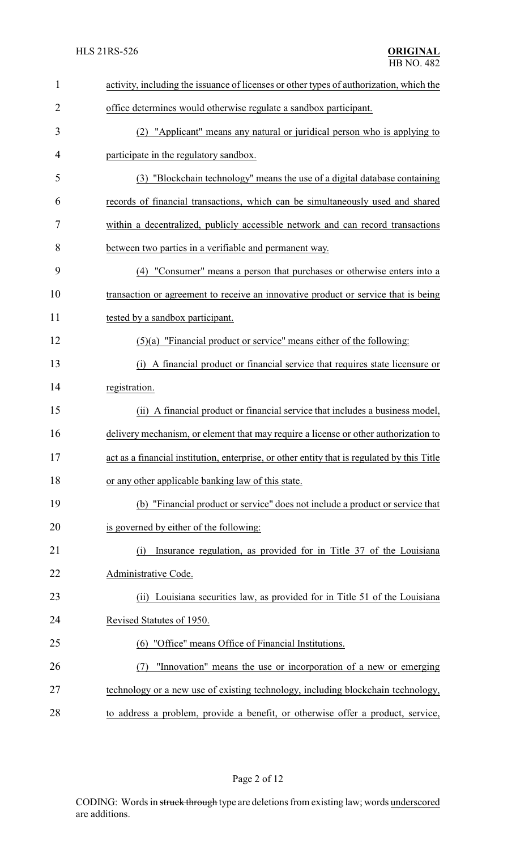| $\mathbf{1}$   | activity, including the issuance of licenses or other types of authorization, which the     |
|----------------|---------------------------------------------------------------------------------------------|
| $\overline{2}$ | office determines would otherwise regulate a sandbox participant.                           |
| 3              | (2) "Applicant" means any natural or juridical person who is applying to                    |
| 4              | participate in the regulatory sandbox.                                                      |
| 5              | (3) "Blockchain technology" means the use of a digital database containing                  |
| 6              | records of financial transactions, which can be simultaneously used and shared              |
| 7              | within a decentralized, publicly accessible network and can record transactions             |
| 8              | between two parties in a verifiable and permanent way.                                      |
| 9              | "Consumer" means a person that purchases or otherwise enters into a<br>(4)                  |
| 10             | transaction or agreement to receive an innovative product or service that is being          |
| 11             | tested by a sandbox participant.                                                            |
| 12             | $(5)(a)$ "Financial product or service" means either of the following:                      |
| 13             | A financial product or financial service that requires state licensure or<br>(i)            |
| 14             | registration.                                                                               |
| 15             | (ii) A financial product or financial service that includes a business model,               |
| 16             | delivery mechanism, or element that may require a license or other authorization to         |
| 17             | act as a financial institution, enterprise, or other entity that is regulated by this Title |
| 18             | or any other applicable banking law of this state.                                          |
| 19             | (b) "Financial product or service" does not include a product or service that               |
| 20             | is governed by either of the following:                                                     |
| 21             | Insurance regulation, as provided for in Title 37 of the Louisiana<br>(i)                   |
| 22             | Administrative Code.                                                                        |
| 23             | (ii) Louisiana securities law, as provided for in Title 51 of the Louisiana                 |
| 24             | Revised Statutes of 1950.                                                                   |
| 25             | "Office" means Office of Financial Institutions.<br>(6)                                     |
| 26             | "Innovation" means the use or incorporation of a new or emerging<br>(7)                     |
| 27             | technology or a new use of existing technology, including blockchain technology,            |
| 28             | to address a problem, provide a benefit, or otherwise offer a product, service,             |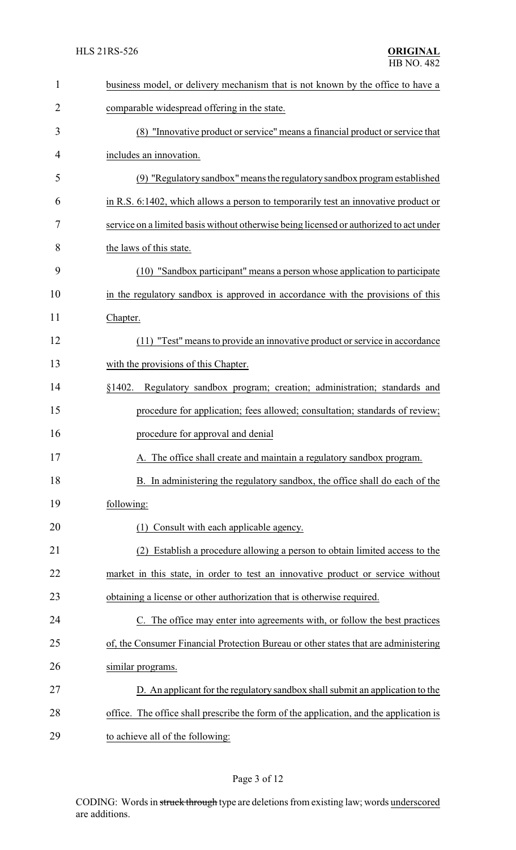| $\mathbf{1}$ | business model, or delivery mechanism that is not known by the office to have a        |
|--------------|----------------------------------------------------------------------------------------|
| 2            | comparable widespread offering in the state.                                           |
| 3            | (8) "Innovative product or service" means a financial product or service that          |
| 4            | includes an innovation.                                                                |
| 5            | (9) "Regulatory sandbox" means the regulatory sandbox program established              |
| 6            | in R.S. 6:1402, which allows a person to temporarily test an innovative product or     |
| 7            | service on a limited basis without otherwise being licensed or authorized to act under |
| 8            | the laws of this state.                                                                |
| 9            | (10) "Sandbox participant" means a person whose application to participate             |
| 10           | in the regulatory sandbox is approved in accordance with the provisions of this        |
| 11           | Chapter.                                                                               |
| 12           | (11) "Test" means to provide an innovative product or service in accordance            |
| 13           | with the provisions of this Chapter.                                                   |
| 14           | Regulatory sandbox program; creation; administration; standards and<br>§1402.          |
| 15           | procedure for application; fees allowed; consultation; standards of review;            |
| 16           | procedure for approval and denial                                                      |
| 17           | A. The office shall create and maintain a regulatory sandbox program.                  |
| 18           | B. In administering the regulatory sandbox, the office shall do each of the            |
| 19           | following:                                                                             |
| 20           | Consult with each applicable agency.<br>(1)                                            |
| 21           | Establish a procedure allowing a person to obtain limited access to the                |
| 22           | market in this state, in order to test an innovative product or service without        |
| 23           | obtaining a license or other authorization that is otherwise required.                 |
| 24           | C. The office may enter into agreements with, or follow the best practices             |
| 25           | of, the Consumer Financial Protection Bureau or other states that are administering    |
| 26           | similar programs.                                                                      |
| 27           | D. An applicant for the regulatory sandbox shall submit an application to the          |
| 28           | office. The office shall prescribe the form of the application, and the application is |
| 29           | to achieve all of the following:                                                       |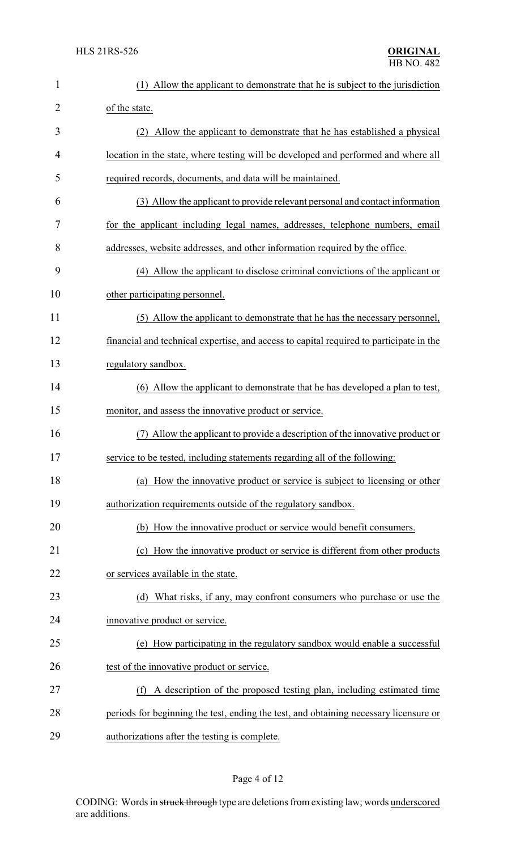| $\mathbf{1}$ | Allow the applicant to demonstrate that he is subject to the jurisdiction<br>(1)        |
|--------------|-----------------------------------------------------------------------------------------|
| 2            | of the state.                                                                           |
| 3            | (2) Allow the applicant to demonstrate that he has established a physical               |
| 4            | location in the state, where testing will be developed and performed and where all      |
| 5            | required records, documents, and data will be maintained.                               |
| 6            | (3) Allow the applicant to provide relevant personal and contact information            |
| 7            | for the applicant including legal names, addresses, telephone numbers, email            |
| 8            | addresses, website addresses, and other information required by the office.             |
| 9            | (4) Allow the applicant to disclose criminal convictions of the applicant or            |
| 10           | other participating personnel.                                                          |
| 11           | (5) Allow the applicant to demonstrate that he has the necessary personnel,             |
| 12           | financial and technical expertise, and access to capital required to participate in the |
| 13           | regulatory sandbox.                                                                     |
| 14           | (6) Allow the applicant to demonstrate that he has developed a plan to test,            |
| 15           | monitor, and assess the innovative product or service.                                  |
| 16           | Allow the applicant to provide a description of the innovative product or               |
| 17           | service to be tested, including statements regarding all of the following:              |
| 18           | (a) How the innovative product or service is subject to licensing or other              |
| 19           | authorization requirements outside of the regulatory sandbox.                           |
| 20           | (b) How the innovative product or service would benefit consumers.                      |
| 21           | (c) How the innovative product or service is different from other products              |
| 22           | or services available in the state.                                                     |
| 23           | (d) What risks, if any, may confront consumers who purchase or use the                  |
| 24           | innovative product or service.                                                          |
| 25           | (e) How participating in the regulatory sandbox would enable a successful               |
| 26           | test of the innovative product or service.                                              |
| 27           | (f) A description of the proposed testing plan, including estimated time                |
| 28           | periods for beginning the test, ending the test, and obtaining necessary licensure or   |
| 29           | authorizations after the testing is complete.                                           |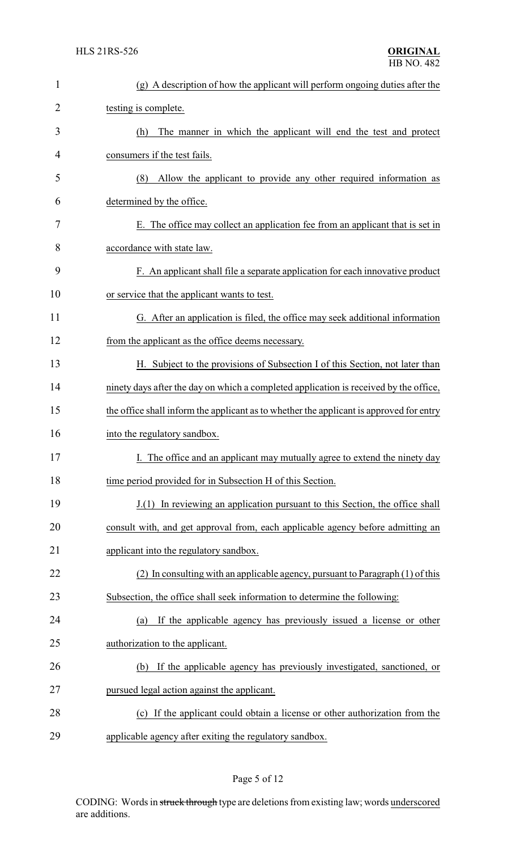| $\mathbf{1}$ | (g) A description of how the applicant will perform ongoing duties after the            |
|--------------|-----------------------------------------------------------------------------------------|
| 2            | testing is complete.                                                                    |
| 3            | The manner in which the applicant will end the test and protect<br>(h)                  |
| 4            | consumers if the test fails.                                                            |
| 5            | Allow the applicant to provide any other required information as<br>(8)                 |
| 6            | determined by the office.                                                               |
| 7            | E. The office may collect an application fee from an applicant that is set in           |
| 8            | accordance with state law.                                                              |
| 9            | F. An applicant shall file a separate application for each innovative product           |
| 10           | or service that the applicant wants to test.                                            |
| 11           | G. After an application is filed, the office may seek additional information            |
| 12           | from the applicant as the office deems necessary.                                       |
| 13           | H. Subject to the provisions of Subsection I of this Section, not later than            |
| 14           | ninety days after the day on which a completed application is received by the office,   |
| 15           | the office shall inform the applicant as to whether the applicant is approved for entry |
| 16           | into the regulatory sandbox.                                                            |
| 17           | I. The office and an applicant may mutually agree to extend the ninety day              |
| 18           | time period provided for in Subsection H of this Section.                               |
| 19           | J.(1) In reviewing an application pursuant to this Section, the office shall            |
| 20           | consult with, and get approval from, each applicable agency before admitting an         |
| 21           | applicant into the regulatory sandbox.                                                  |
| 22           | (2) In consulting with an applicable agency, pursuant to Paragraph (1) of this          |
| 23           | Subsection, the office shall seek information to determine the following:               |
| 24           | If the applicable agency has previously issued a license or other<br>(a)                |
| 25           | authorization to the applicant.                                                         |
| 26           | If the applicable agency has previously investigated, sanctioned, or<br>(b)             |
| 27           | pursued legal action against the applicant.                                             |
| 28           | (c) If the applicant could obtain a license or other authorization from the             |
| 29           | applicable agency after exiting the regulatory sandbox.                                 |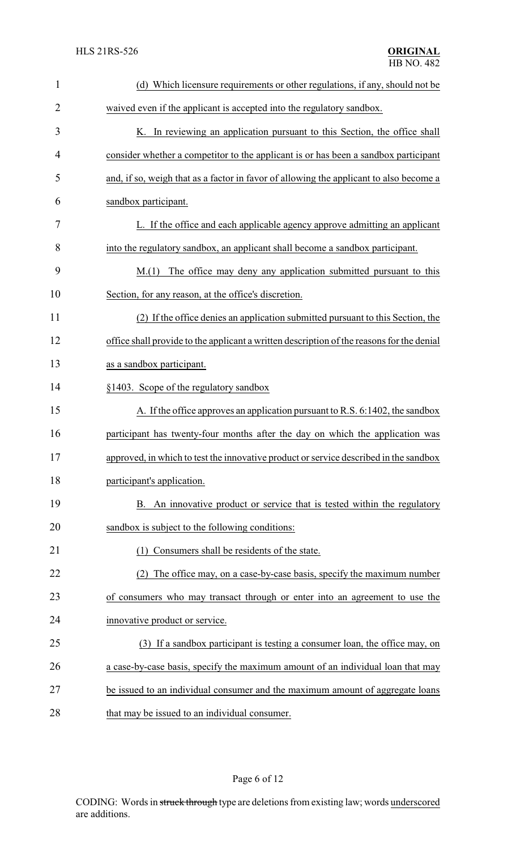| $\mathbf{1}$ | (d) Which licensure requirements or other regulations, if any, should not be              |
|--------------|-------------------------------------------------------------------------------------------|
| 2            | waived even if the applicant is accepted into the regulatory sandbox.                     |
| 3            | K. In reviewing an application pursuant to this Section, the office shall                 |
| 4            | consider whether a competitor to the applicant is or has been a sandbox participant       |
| 5            | and, if so, weigh that as a factor in favor of allowing the applicant to also become a    |
| 6            | sandbox participant.                                                                      |
| 7            | L. If the office and each applicable agency approve admitting an applicant                |
| 8            | into the regulatory sandbox, an applicant shall become a sandbox participant.             |
| 9            | The office may deny any application submitted pursuant to this<br>M(1)                    |
| 10           | Section, for any reason, at the office's discretion.                                      |
| 11           | (2) If the office denies an application submitted pursuant to this Section, the           |
| 12           | office shall provide to the applicant a written description of the reasons for the denial |
| 13           | as a sandbox participant.                                                                 |
| 14           | §1403. Scope of the regulatory sandbox                                                    |
| 15           | A. If the office approves an application pursuant to R.S. 6:1402, the sandbox             |
| 16           | participant has twenty-four months after the day on which the application was             |
| 17           | approved, in which to test the innovative product or service described in the sandbox     |
| 18           | participant's application.                                                                |
| 19           | B. An innovative product or service that is tested within the regulatory                  |
| 20           | sandbox is subject to the following conditions:                                           |
| 21           | Consumers shall be residents of the state.<br>(1)                                         |
| 22           | (2) The office may, on a case-by-case basis, specify the maximum number                   |
| 23           | of consumers who may transact through or enter into an agreement to use the               |
| 24           | innovative product or service.                                                            |
| 25           | (3) If a sandbox participant is testing a consumer loan, the office may, on               |
| 26           | a case-by-case basis, specify the maximum amount of an individual loan that may           |
| 27           | be issued to an individual consumer and the maximum amount of aggregate loans             |
| 28           | that may be issued to an individual consumer.                                             |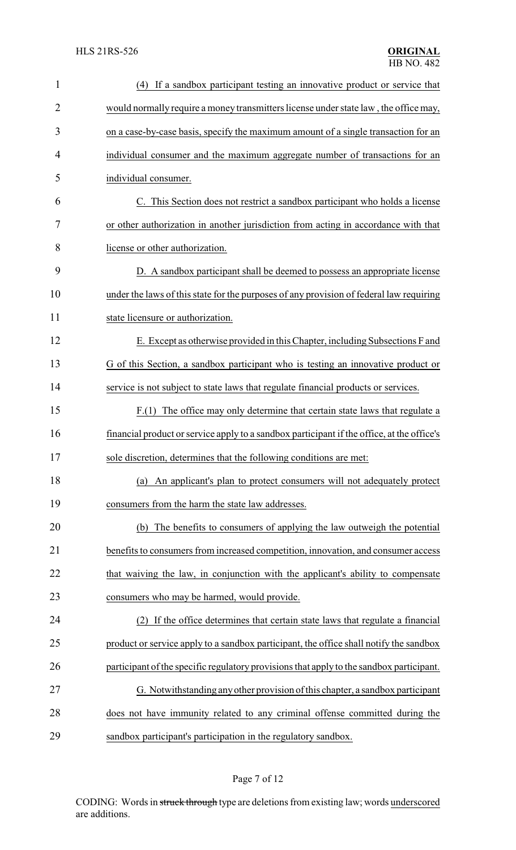| $\mathbf{1}$ | (4) If a sandbox participant testing an innovative product or service that                 |
|--------------|--------------------------------------------------------------------------------------------|
| 2            | would normally require a money transmitters license under state law, the office may,       |
| 3            | on a case-by-case basis, specify the maximum amount of a single transaction for an         |
| 4            | individual consumer and the maximum aggregate number of transactions for an                |
| 5            | individual consumer.                                                                       |
| 6            | C. This Section does not restrict a sandbox participant who holds a license                |
| 7            | or other authorization in another jurisdiction from acting in accordance with that         |
| 8            | license or other authorization.                                                            |
| 9            | D. A sandbox participant shall be deemed to possess an appropriate license                 |
| 10           | under the laws of this state for the purposes of any provision of federal law requiring    |
| 11           | state licensure or authorization.                                                          |
| 12           | E. Except as otherwise provided in this Chapter, including Subsections F and               |
| 13           | G of this Section, a sandbox participant who is testing an innovative product or           |
| 14           | service is not subject to state laws that regulate financial products or services.         |
| 15           | F.(1) The office may only determine that certain state laws that regulate a                |
| 16           | financial product or service apply to a sandbox participant if the office, at the office's |
| 17           | sole discretion, determines that the following conditions are met:                         |
| 18           | An applicant's plan to protect consumers will not adequately protect<br>(a)                |
| 19           | consumers from the harm the state law addresses.                                           |
| 20           | (b) The benefits to consumers of applying the law outweigh the potential                   |
| 21           | benefits to consumers from increased competition, innovation, and consumer access          |
| 22           | that waiving the law, in conjunction with the applicant's ability to compensate            |
| 23           | consumers who may be harmed, would provide.                                                |
| 24           | If the office determines that certain state laws that regulate a financial                 |
| 25           | product or service apply to a sandbox participant, the office shall notify the sandbox     |
| 26           | participant of the specific regulatory provisions that apply to the sandbox participant.   |
| 27           | G. Notwithstanding any other provision of this chapter, a sandbox participant              |
| 28           | does not have immunity related to any criminal offense committed during the                |
| 29           | sandbox participant's participation in the regulatory sandbox.                             |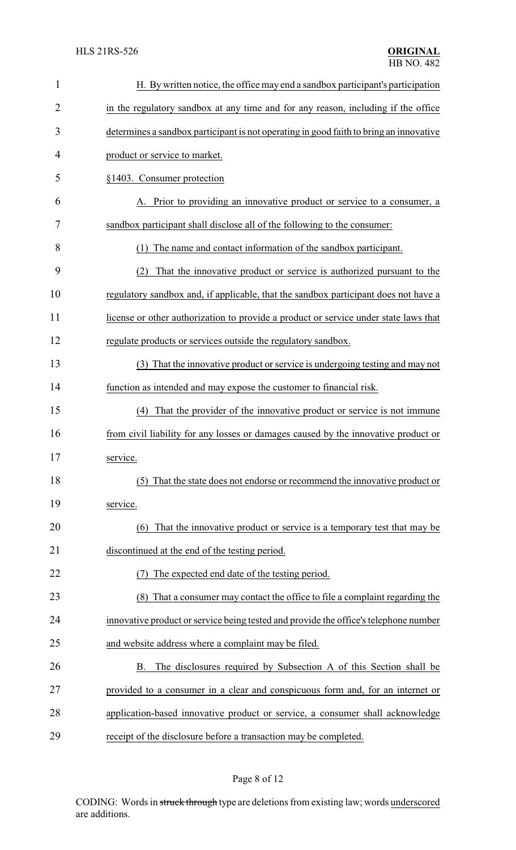| $\mathbf{1}$ | H. By written notice, the office may end a sandbox participant's participation         |
|--------------|----------------------------------------------------------------------------------------|
| 2            | in the regulatory sandbox at any time and for any reason, including if the office      |
| 3            | determines a sandbox participant is not operating in good faith to bring an innovative |
| 4            | product or service to market.                                                          |
| 5            | §1403. Consumer protection                                                             |
| 6            | Prior to providing an innovative product or service to a consumer, a                   |
| 7            | sandbox participant shall disclose all of the following to the consumer:               |
| 8            | The name and contact information of the sandbox participant.<br>(1)                    |
| 9            | That the innovative product or service is authorized pursuant to the<br>(2)            |
| 10           | regulatory sandbox and, if applicable, that the sandbox participant does not have a    |
| 11           | license or other authorization to provide a product or service under state laws that   |
| 12           | regulate products or services outside the regulatory sandbox.                          |
| 13           | (3) That the innovative product or service is undergoing testing and may not           |
| 14           | function as intended and may expose the customer to financial risk.                    |
| 15           | That the provider of the innovative product or service is not immune<br>(4)            |
| 16           | from civil liability for any losses or damages caused by the innovative product or     |
| 17           | service.                                                                               |
| 18           | (5) That the state does not endorse or recommend the innovative product or             |
| 19           | service.                                                                               |
| 20           | That the innovative product or service is a temporary test that may be<br>(6)          |
| 21           | discontinued at the end of the testing period.                                         |
| 22           | The expected end date of the testing period.                                           |
| 23           | (8) That a consumer may contact the office to file a complaint regarding the           |
| 24           | innovative product or service being tested and provide the office's telephone number   |
| 25           | and website address where a complaint may be filed.                                    |
| 26           | The disclosures required by Subsection A of this Section shall be<br>B.                |
| 27           | provided to a consumer in a clear and conspicuous form and, for an internet or         |
| 28           | application-based innovative product or service, a consumer shall acknowledge          |
| 29           | receipt of the disclosure before a transaction may be completed.                       |

# Page 8 of 12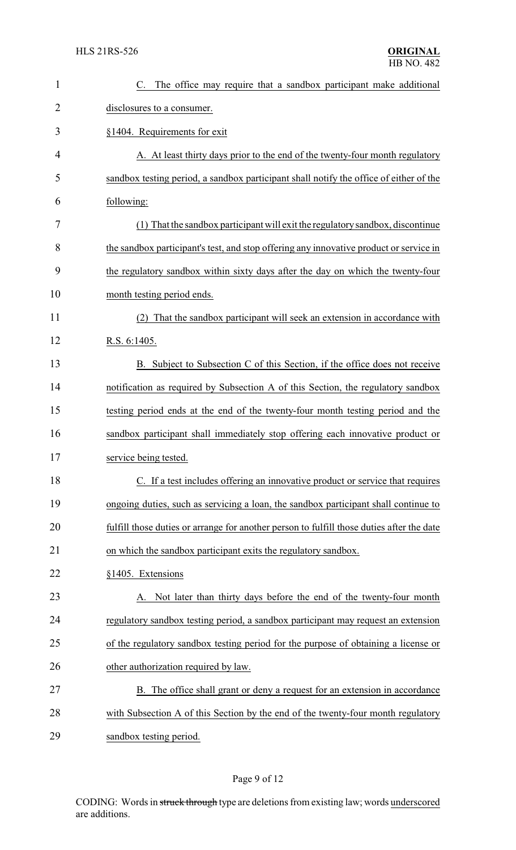| $\mathbf{1}$   | C. The office may require that a sandbox participant make additional                      |
|----------------|-------------------------------------------------------------------------------------------|
| $\overline{2}$ | disclosures to a consumer.                                                                |
| 3              | §1404. Requirements for exit                                                              |
| 4              | A. At least thirty days prior to the end of the twenty-four month regulatory              |
| 5              | sandbox testing period, a sandbox participant shall notify the office of either of the    |
| 6              | following:                                                                                |
| 7              | (1) That the sandbox participant will exit the regulatory sandbox, discontinue            |
| 8              | the sandbox participant's test, and stop offering any innovative product or service in    |
| 9              | the regulatory sandbox within sixty days after the day on which the twenty-four           |
| 10             | month testing period ends.                                                                |
| 11             | That the sandbox participant will seek an extension in accordance with                    |
| 12             | R.S. 6:1405.                                                                              |
| 13             | B. Subject to Subsection C of this Section, if the office does not receive                |
| 14             | notification as required by Subsection A of this Section, the regulatory sandbox          |
| 15             | testing period ends at the end of the twenty-four month testing period and the            |
| 16             | sandbox participant shall immediately stop offering each innovative product or            |
| 17             | service being tested                                                                      |
| 18             | C. If a test includes offering an innovative product or service that requires             |
| 19             | ongoing duties, such as servicing a loan, the sandbox participant shall continue to       |
| 20             | fulfill those duties or arrange for another person to fulfill those duties after the date |
| 21             | on which the sandbox participant exits the regulatory sandbox.                            |
| 22             | §1405. Extensions                                                                         |
| 23             | A. Not later than thirty days before the end of the twenty-four month                     |
| 24             | regulatory sandbox testing period, a sandbox participant may request an extension         |
| 25             | of the regulatory sandbox testing period for the purpose of obtaining a license or        |
| 26             | other authorization required by law.                                                      |
| 27             | B. The office shall grant or deny a request for an extension in accordance                |
| 28             | with Subsection A of this Section by the end of the twenty-four month regulatory          |
| 29             | sandbox testing period.                                                                   |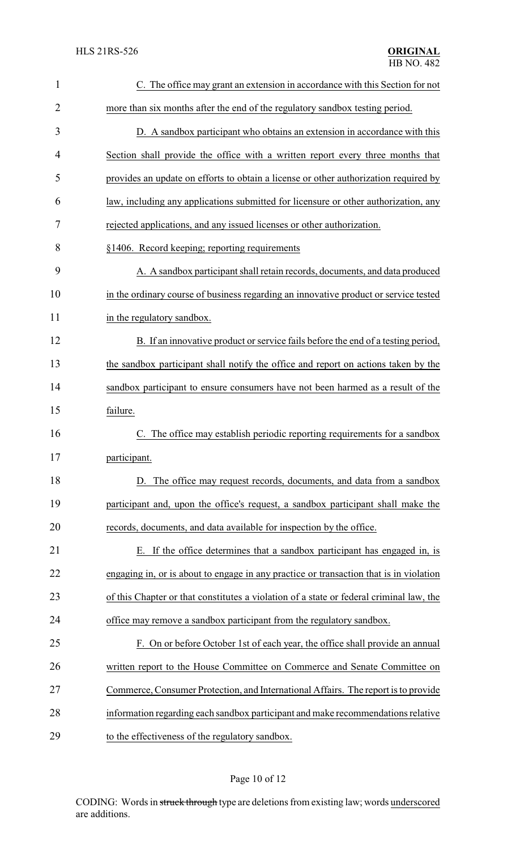| $\mathbf{1}$ | C. The office may grant an extension in accordance with this Section for not            |
|--------------|-----------------------------------------------------------------------------------------|
| 2            | more than six months after the end of the regulatory sandbox testing period.            |
| 3            | D. A sandbox participant who obtains an extension in accordance with this               |
| 4            | Section shall provide the office with a written report every three months that          |
| 5            | provides an update on efforts to obtain a license or other authorization required by    |
| 6            | law, including any applications submitted for licensure or other authorization, any     |
| 7            | rejected applications, and any issued licenses or other authorization.                  |
| 8            | §1406. Record keeping; reporting requirements                                           |
| 9            | A. A sandbox participant shall retain records, documents, and data produced             |
| 10           | in the ordinary course of business regarding an innovative product or service tested    |
| 11           | in the regulatory sandbox.                                                              |
| 12           | B. If an innovative product or service fails before the end of a testing period,        |
| 13           | the sandbox participant shall notify the office and report on actions taken by the      |
| 14           | sandbox participant to ensure consumers have not been harmed as a result of the         |
| 15           | failure.                                                                                |
| 16           | The office may establish periodic reporting requirements for a sandbox<br>C.            |
| 17           | participant.                                                                            |
| 18           | D. The office may request records, documents, and data from a sandbox                   |
| 19           | participant and, upon the office's request, a sandbox participant shall make the        |
| 20           | records, documents, and data available for inspection by the office.                    |
| 21           | E. If the office determines that a sandbox participant has engaged in, is               |
| 22           | engaging in, or is about to engage in any practice or transaction that is in violation  |
| 23           | of this Chapter or that constitutes a violation of a state or federal criminal law, the |
| 24           | office may remove a sandbox participant from the regulatory sandbox.                    |
| 25           | F. On or before October 1st of each year, the office shall provide an annual            |
| 26           | written report to the House Committee on Commerce and Senate Committee on               |
| 27           | Commerce, Consumer Protection, and International Affairs. The report is to provide      |
| 28           | information regarding each sandbox participant and make recommendations relative        |
| 29           | to the effectiveness of the regulatory sandbox.                                         |

# Page 10 of 12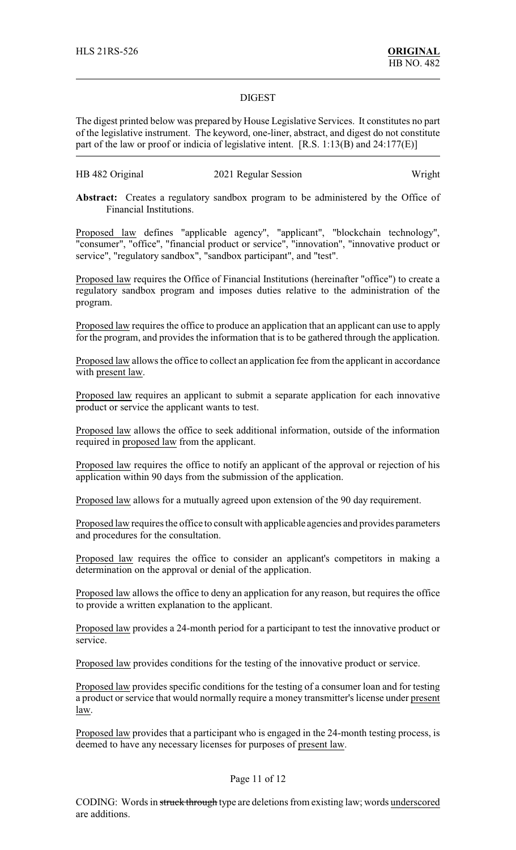#### DIGEST

The digest printed below was prepared by House Legislative Services. It constitutes no part of the legislative instrument. The keyword, one-liner, abstract, and digest do not constitute part of the law or proof or indicia of legislative intent. [R.S. 1:13(B) and 24:177(E)]

## HB 482 Original 2021 Regular Session Wright

**Abstract:** Creates a regulatory sandbox program to be administered by the Office of Financial Institutions.

Proposed law defines "applicable agency", "applicant", "blockchain technology", "consumer", "office", "financial product or service", "innovation", "innovative product or service", "regulatory sandbox", "sandbox participant", and "test".

Proposed law requires the Office of Financial Institutions (hereinafter "office") to create a regulatory sandbox program and imposes duties relative to the administration of the program.

Proposed law requires the office to produce an application that an applicant can use to apply for the program, and provides the information that is to be gathered through the application.

Proposed law allows the office to collect an application fee from the applicant in accordance with present law.

Proposed law requires an applicant to submit a separate application for each innovative product or service the applicant wants to test.

Proposed law allows the office to seek additional information, outside of the information required in proposed law from the applicant.

Proposed law requires the office to notify an applicant of the approval or rejection of his application within 90 days from the submission of the application.

Proposed law allows for a mutually agreed upon extension of the 90 day requirement.

Proposed law requires the office to consult with applicable agencies and provides parameters and procedures for the consultation.

Proposed law requires the office to consider an applicant's competitors in making a determination on the approval or denial of the application.

Proposed law allows the office to deny an application for any reason, but requires the office to provide a written explanation to the applicant.

Proposed law provides a 24-month period for a participant to test the innovative product or service.

Proposed law provides conditions for the testing of the innovative product or service.

Proposed law provides specific conditions for the testing of a consumer loan and for testing a product or service that would normally require a money transmitter's license under present law.

Proposed law provides that a participant who is engaged in the 24-month testing process, is deemed to have any necessary licenses for purposes of present law.

### Page 11 of 12

CODING: Words in struck through type are deletions from existing law; words underscored are additions.